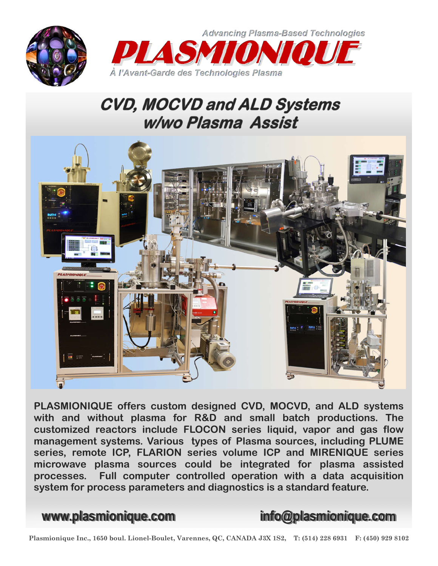



## **CVD, MOCVD and ALD Systems** w/wo Plasma Assist



**PLASMIONIQUE offers custom designed CVD, MOCVD, and ALD systems with and without plasma for R&D and small batch productions. The customized reactors include FLOCON series liquid, vapor and gas flow management systems. Various types of Plasma sources, including PLUME series, remote ICP, FLARION series volume ICP and MIRENIQUE series microwave plasma sources could be integrated for plasma assisted processes. Full computer controlled operation with a data acquisition system for process parameters and diagnostics is a standard feature.** 

**www.plasmionique.com info@plasmionique.com**